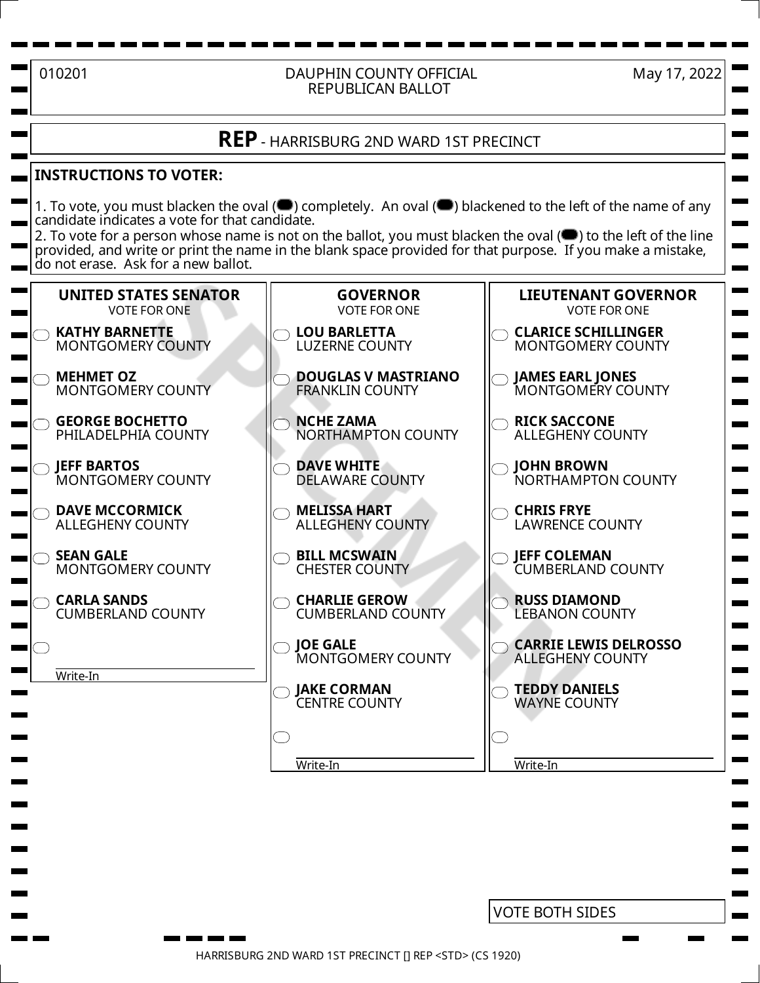## 010201 DAUPHIN COUNTY OFFICIAL REPUBLICAN BALLOT

May 17, 2022

## **REP**- HARRISBURG 2ND WARD 1ST PRECINCT

## **INSTRUCTIONS TO VOTER:**

1. To vote, you must blacken the oval ( $\blacksquare$ ) completely. An oval ( $\blacksquare$ ) blackened to the left of the name of any candidate indicates a vote for that candidate.

2. To vote for a person whose name is not on the ballot, you must blacken the oval  $($ **)** to the left of the line provided, and write or print the name in the blank space provided for that purpose. If you make a mistake, do not erase. Ask for a new ballot.